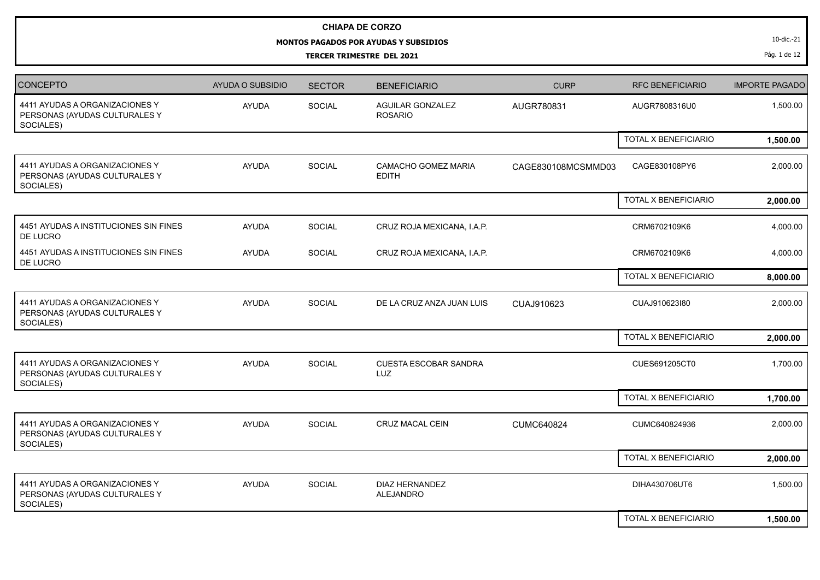## **CHIAPA DE CORZO**

## **MONTOS PAGADOS POR AYUDAS Y SUBSIDIOS**

**TERCER TRIMESTRE DEL 2021**

10-dic.-21

Pág. 1 de 12

| <b>CONCEPTO</b>                                                              | AYUDA O SUBSIDIO | <b>SECTOR</b> | <b>BENEFICIARIO</b>                       | <b>CURP</b>        | <b>RFC BENEFICIARIO</b> | <b>IMPORTE PAGADO</b> |
|------------------------------------------------------------------------------|------------------|---------------|-------------------------------------------|--------------------|-------------------------|-----------------------|
| 4411 AYUDAS A ORGANIZACIONES Y<br>PERSONAS (AYUDAS CULTURALES Y<br>SOCIALES) | <b>AYUDA</b>     | <b>SOCIAL</b> | <b>AGUILAR GONZALEZ</b><br><b>ROSARIO</b> | AUGR780831         | AUGR7808316U0           | 1,500.00              |
|                                                                              |                  |               |                                           |                    | TOTAL X BENEFICIARIO    | 1,500.00              |
| 4411 AYUDAS A ORGANIZACIONES Y<br>PERSONAS (AYUDAS CULTURALES Y<br>SOCIALES) | <b>AYUDA</b>     | SOCIAL        | CAMACHO GOMEZ MARIA<br><b>EDITH</b>       | CAGE830108MCSMMD03 | CAGE830108PY6           | 2,000.00              |
|                                                                              |                  |               |                                           |                    | TOTAL X BENEFICIARIO    | 2,000.00              |
| 4451 AYUDAS A INSTITUCIONES SIN FINES<br>DE LUCRO                            | <b>AYUDA</b>     | SOCIAL        | CRUZ ROJA MEXICANA, I.A.P.                |                    | CRM6702109K6            | 4,000.00              |
| 4451 AYUDAS A INSTITUCIONES SIN FINES<br>DE LUCRO                            | AYUDA            | SOCIAL        | CRUZ ROJA MEXICANA, I.A.P.                |                    | CRM6702109K6            | 4,000.00              |
|                                                                              |                  |               |                                           |                    | TOTAL X BENEFICIARIO    | 8,000.00              |
| 4411 AYUDAS A ORGANIZACIONES Y<br>PERSONAS (AYUDAS CULTURALES Y<br>SOCIALES) | <b>AYUDA</b>     | SOCIAL        | DE LA CRUZ ANZA JUAN LUIS                 | CUAJ910623         | CUAJ910623I80           | 2,000.00              |
|                                                                              |                  |               |                                           |                    | TOTAL X BENEFICIARIO    | 2,000.00              |
| 4411 AYUDAS A ORGANIZACIONES Y<br>PERSONAS (AYUDAS CULTURALES Y<br>SOCIALES) | <b>AYUDA</b>     | SOCIAL        | <b>CUESTA ESCOBAR SANDRA</b><br>LUZ       |                    | CUES691205CT0           | 1,700.00              |
|                                                                              |                  |               |                                           |                    | TOTAL X BENEFICIARIO    | 1,700.00              |
| 4411 AYUDAS A ORGANIZACIONES Y<br>PERSONAS (AYUDAS CULTURALES Y<br>SOCIALES) | <b>AYUDA</b>     | SOCIAL        | CRUZ MACAL CEIN                           | <b>CUMC640824</b>  | CUMC640824936           | 2,000.00              |
|                                                                              |                  |               |                                           |                    | TOTAL X BENEFICIARIO    | 2,000.00              |
| 4411 AYUDAS A ORGANIZACIONES Y<br>PERSONAS (AYUDAS CULTURALES Y<br>SOCIALES) | <b>AYUDA</b>     | SOCIAL        | <b>DIAZ HERNANDEZ</b><br><b>ALEJANDRO</b> |                    | DIHA430706UT6           | 1,500.00              |
|                                                                              |                  |               |                                           |                    | TOTAL X BENEFICIARIO    | 1,500.00              |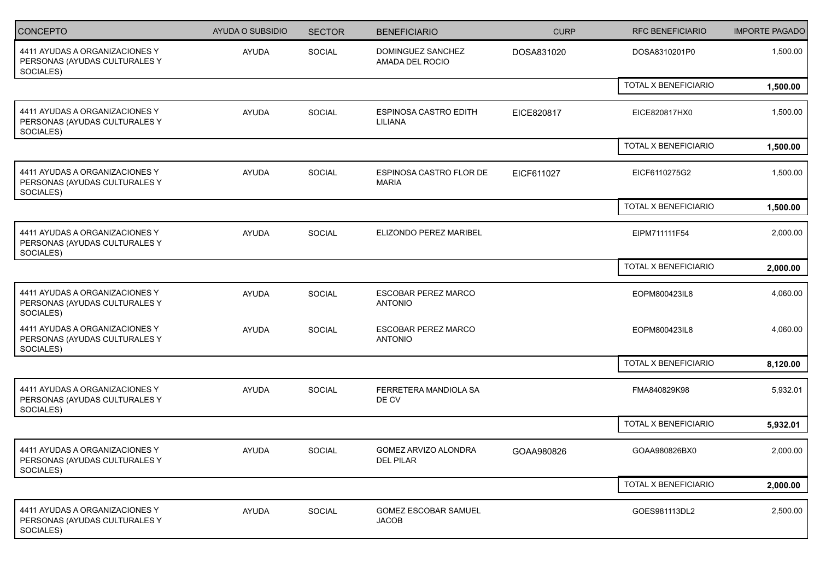| <b>CONCEPTO</b>                                                              | <b>AYUDA O SUBSIDIO</b> | <b>SECTOR</b> | <b>BENEFICIARIO</b>                          | <b>CURP</b> | <b>RFC BENEFICIARIO</b> | <b>IMPORTE PAGADO</b> |
|------------------------------------------------------------------------------|-------------------------|---------------|----------------------------------------------|-------------|-------------------------|-----------------------|
| 4411 AYUDAS A ORGANIZACIONES Y<br>PERSONAS (AYUDAS CULTURALES Y<br>SOCIALES) | AYUDA                   | SOCIAL        | DOMINGUEZ SANCHEZ<br>AMADA DEL ROCIO         | DOSA831020  | DOSA8310201P0           | 1,500.00              |
|                                                                              |                         |               |                                              |             | TOTAL X BENEFICIARIO    | 1,500.00              |
| 4411 AYUDAS A ORGANIZACIONES Y<br>PERSONAS (AYUDAS CULTURALES Y<br>SOCIALES) | <b>AYUDA</b>            | SOCIAL        | <b>ESPINOSA CASTRO EDITH</b><br>LILIANA      | EICE820817  | EICE820817HX0           | 1,500.00              |
|                                                                              |                         |               |                                              |             | TOTAL X BENEFICIARIO    | 1,500.00              |
| 4411 AYUDAS A ORGANIZACIONES Y<br>PERSONAS (AYUDAS CULTURALES Y<br>SOCIALES) | <b>AYUDA</b>            | <b>SOCIAL</b> | ESPINOSA CASTRO FLOR DE<br><b>MARIA</b>      | EICF611027  | EICF6110275G2           | 1,500.00              |
|                                                                              |                         |               |                                              |             | TOTAL X BENEFICIARIO    | 1,500.00              |
| 4411 AYUDAS A ORGANIZACIONES Y<br>PERSONAS (AYUDAS CULTURALES Y<br>SOCIALES) | <b>AYUDA</b>            | SOCIAL        | ELIZONDO PEREZ MARIBEL                       |             | EIPM711111F54           | 2,000.00              |
|                                                                              |                         |               |                                              |             | TOTAL X BENEFICIARIO    | 2,000.00              |
| 4411 AYUDAS A ORGANIZACIONES Y<br>PERSONAS (AYUDAS CULTURALES Y<br>SOCIALES) | <b>AYUDA</b>            | SOCIAL        | <b>ESCOBAR PEREZ MARCO</b><br><b>ANTONIO</b> |             | EOPM800423IL8           | 4,060.00              |
| 4411 AYUDAS A ORGANIZACIONES Y<br>PERSONAS (AYUDAS CULTURALES Y<br>SOCIALES) | <b>AYUDA</b>            | <b>SOCIAL</b> | <b>ESCOBAR PEREZ MARCO</b><br><b>ANTONIO</b> |             | EOPM800423IL8           | 4,060.00              |
|                                                                              |                         |               |                                              |             | TOTAL X BENEFICIARIO    | 8,120.00              |
| 4411 AYUDAS A ORGANIZACIONES Y<br>PERSONAS (AYUDAS CULTURALES Y<br>SOCIALES) | <b>AYUDA</b>            | SOCIAL        | FERRETERA MANDIOLA SA<br>DE CV               |             | FMA840829K98            | 5,932.01              |
|                                                                              |                         |               |                                              |             | TOTAL X BENEFICIARIO    | 5,932.01              |
| 4411 AYUDAS A ORGANIZACIONES Y<br>PERSONAS (AYUDAS CULTURALES Y<br>SOCIALES) | <b>AYUDA</b>            | SOCIAL        | GOMEZ ARVIZO ALONDRA<br>DEL PILAR            | GOAA980826  | GOAA980826BX0           | 2,000.00              |
|                                                                              |                         |               |                                              |             | TOTAL X BENEFICIARIO    | 2,000.00              |
| 4411 AYUDAS A ORGANIZACIONES Y<br>PERSONAS (AYUDAS CULTURALES Y<br>SOCIALES) | AYUDA                   | SOCIAL        | <b>GOMEZ ESCOBAR SAMUEL</b><br><b>JACOB</b>  |             | GOES981113DL2           | 2,500.00              |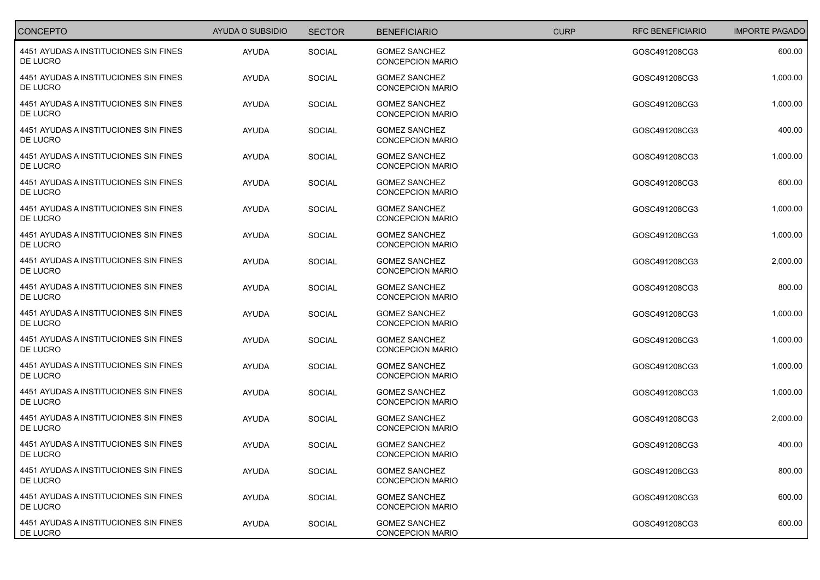| <b>CONCEPTO</b>                                   | AYUDA O SUBSIDIO | <b>SECTOR</b> | <b>BENEFICIARIO</b>                             | <b>CURP</b> |
|---------------------------------------------------|------------------|---------------|-------------------------------------------------|-------------|
| 4451 AYUDAS A INSTITUCIONES SIN FINES<br>DE LUCRO | AYUDA            | SOCIAL        | <b>GOMEZ SANCHEZ</b><br><b>CONCEPCION MARIO</b> |             |
| 4451 AYUDAS A INSTITUCIONES SIN FINES<br>DE LUCRO | AYUDA            | SOCIAL        | <b>GOMEZ SANCHEZ</b><br><b>CONCEPCION MARIO</b> |             |
| 4451 AYUDAS A INSTITUCIONES SIN FINES<br>DE LUCRO | AYUDA            | SOCIAL        | <b>GOMEZ SANCHEZ</b><br><b>CONCEPCION MARIO</b> |             |
| 4451 AYUDAS A INSTITUCIONES SIN FINES<br>DE LUCRO | AYUDA            | SOCIAL        | <b>GOMEZ SANCHEZ</b><br><b>CONCEPCION MARIO</b> |             |
| 4451 AYUDAS A INSTITUCIONES SIN FINES<br>DE LUCRO | AYUDA            | SOCIAL        | <b>GOMEZ SANCHEZ</b><br><b>CONCEPCION MARIO</b> |             |
| 4451 AYUDAS A INSTITUCIONES SIN FINES<br>DE LUCRO | <b>AYUDA</b>     | <b>SOCIAL</b> | <b>GOMEZ SANCHEZ</b><br><b>CONCEPCION MARIO</b> |             |
| 4451 AYUDAS A INSTITUCIONES SIN FINES<br>DE LUCRO | AYUDA            | SOCIAL        | <b>GOMEZ SANCHEZ</b><br><b>CONCEPCION MARIO</b> |             |
| 4451 AYUDAS A INSTITUCIONES SIN FINES<br>DE LUCRO | AYUDA            | SOCIAL        | <b>GOMEZ SANCHEZ</b><br><b>CONCEPCION MARIO</b> |             |
| 4451 AYUDAS A INSTITUCIONES SIN FINES<br>DE LUCRO | AYUDA            | SOCIAL        | <b>GOMEZ SANCHEZ</b><br><b>CONCEPCION MARIO</b> |             |
| 4451 AYUDAS A INSTITUCIONES SIN FINES<br>DE LUCRO | AYUDA            | SOCIAL        | <b>GOMEZ SANCHEZ</b><br><b>CONCEPCION MARIO</b> |             |
| 4451 AYUDAS A INSTITUCIONES SIN FINES<br>DE LUCRO | AYUDA            | <b>SOCIAL</b> | <b>GOMEZ SANCHEZ</b><br><b>CONCEPCION MARIO</b> |             |
| 4451 AYUDAS A INSTITUCIONES SIN FINES<br>DE LUCRO | AYUDA            | SOCIAL        | <b>GOMEZ SANCHEZ</b><br><b>CONCEPCION MARIO</b> |             |
| 4451 AYUDAS A INSTITUCIONES SIN FINES<br>DE LUCRO | AYUDA            | SOCIAL        | <b>GOMEZ SANCHEZ</b><br><b>CONCEPCION MARIO</b> |             |
| 4451 AYUDAS A INSTITUCIONES SIN FINES<br>DE LUCRO | AYUDA            | SOCIAL        | <b>GOMEZ SANCHEZ</b><br><b>CONCEPCION MARIO</b> |             |
| 4451 AYUDAS A INSTITUCIONES SIN FINES<br>DE LUCRO | AYUDA            | SOCIAL        | <b>GOMEZ SANCHEZ</b><br><b>CONCEPCION MARIO</b> |             |
| 4451 AYUDAS A INSTITUCIONES SIN FINES<br>DE LUCRO | AYUDA            | SOCIAL        | <b>GOMEZ SANCHEZ</b><br><b>CONCEPCION MARIO</b> |             |
| 4451 AYUDAS A INSTITUCIONES SIN FINES<br>DE LUCRO | AYUDA            | SOCIAL        | <b>GOMEZ SANCHEZ</b><br><b>CONCEPCION MARIO</b> |             |
| 4451 AYUDAS A INSTITUCIONES SIN FINES<br>DE LUCRO | AYUDA            | SOCIAL        | <b>GOMEZ SANCHEZ</b><br><b>CONCEPCION MARIO</b> |             |
| 4451 AYUDAS A INSTITUCIONES SIN FINES<br>DE LUCRO | AYUDA            | SOCIAL        | <b>GOMEZ SANCHEZ</b><br><b>CONCEPCION MARIO</b> |             |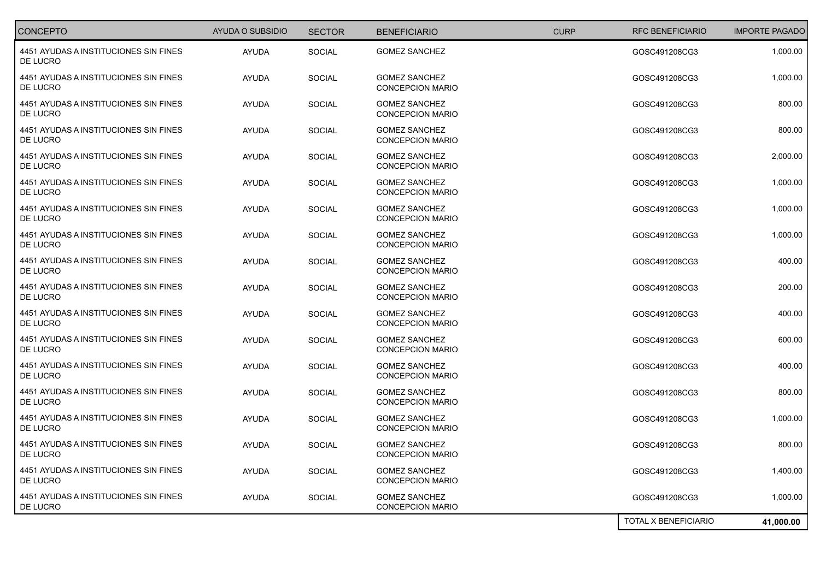| <b>CONCEPTO</b>                                   | AYUDA O SUBSIDIO | <b>SECTOR</b> | <b>BENEFICIARIO</b>                             | <b>CURP</b> |
|---------------------------------------------------|------------------|---------------|-------------------------------------------------|-------------|
| 4451 AYUDAS A INSTITUCIONES SIN FINES<br>DE LUCRO | AYUDA            | SOCIAL        | <b>GOMEZ SANCHEZ</b>                            |             |
| 4451 AYUDAS A INSTITUCIONES SIN FINES<br>DE LUCRO | AYUDA            | SOCIAL        | <b>GOMEZ SANCHEZ</b><br><b>CONCEPCION MARIO</b> |             |
| 4451 AYUDAS A INSTITUCIONES SIN FINES<br>DE LUCRO | AYUDA            | SOCIAL        | <b>GOMEZ SANCHEZ</b><br><b>CONCEPCION MARIO</b> |             |
| 4451 AYUDAS A INSTITUCIONES SIN FINES<br>DE LUCRO | AYUDA            | SOCIAL        | <b>GOMEZ SANCHEZ</b><br><b>CONCEPCION MARIO</b> |             |
| 4451 AYUDAS A INSTITUCIONES SIN FINES<br>DE LUCRO | AYUDA            | SOCIAL        | <b>GOMEZ SANCHEZ</b><br><b>CONCEPCION MARIO</b> |             |
| 4451 AYUDAS A INSTITUCIONES SIN FINES<br>DE LUCRO | AYUDA            | <b>SOCIAL</b> | <b>GOMEZ SANCHEZ</b><br><b>CONCEPCION MARIO</b> |             |
| 4451 AYUDAS A INSTITUCIONES SIN FINES<br>DE LUCRO | AYUDA            | SOCIAL        | <b>GOMEZ SANCHEZ</b><br><b>CONCEPCION MARIO</b> |             |
| 4451 AYUDAS A INSTITUCIONES SIN FINES<br>DE LUCRO | AYUDA            | SOCIAL        | <b>GOMEZ SANCHEZ</b><br><b>CONCEPCION MARIO</b> |             |
| 4451 AYUDAS A INSTITUCIONES SIN FINES<br>DE LUCRO | AYUDA            | SOCIAL        | <b>GOMEZ SANCHEZ</b><br><b>CONCEPCION MARIO</b> |             |
| 4451 AYUDAS A INSTITUCIONES SIN FINES<br>DE LUCRO | AYUDA            | <b>SOCIAL</b> | <b>GOMEZ SANCHEZ</b><br><b>CONCEPCION MARIO</b> |             |
| 4451 AYUDAS A INSTITUCIONES SIN FINES<br>DE LUCRO | AYUDA            | <b>SOCIAL</b> | <b>GOMEZ SANCHEZ</b><br><b>CONCEPCION MARIO</b> |             |
| 4451 AYUDAS A INSTITUCIONES SIN FINES<br>DE LUCRO | AYUDA            | SOCIAL        | <b>GOMEZ SANCHEZ</b><br><b>CONCEPCION MARIO</b> |             |
| 4451 AYUDAS A INSTITUCIONES SIN FINES<br>DE LUCRO | AYUDA            | SOCIAL        | <b>GOMEZ SANCHEZ</b><br><b>CONCEPCION MARIO</b> |             |
| 4451 AYUDAS A INSTITUCIONES SIN FINES<br>DE LUCRO | AYUDA            | SOCIAL        | <b>GOMEZ SANCHEZ</b><br><b>CONCEPCION MARIO</b> |             |
| 4451 AYUDAS A INSTITUCIONES SIN FINES<br>DE LUCRO | AYUDA            | SOCIAL        | <b>GOMEZ SANCHEZ</b><br><b>CONCEPCION MARIO</b> |             |
| 4451 AYUDAS A INSTITUCIONES SIN FINES<br>DE LUCRO | AYUDA            | SOCIAL        | <b>GOMEZ SANCHEZ</b><br><b>CONCEPCION MARIO</b> |             |
| 4451 AYUDAS A INSTITUCIONES SIN FINES<br>DE LUCRO | AYUDA            | SOCIAL        | <b>GOMEZ SANCHEZ</b><br><b>CONCEPCION MARIO</b> |             |
| 4451 AYUDAS A INSTITUCIONES SIN FINES<br>DE LUCRO | AYUDA            | SOCIAL        | <b>GOMEZ SANCHEZ</b><br><b>CONCEPCION MARIO</b> |             |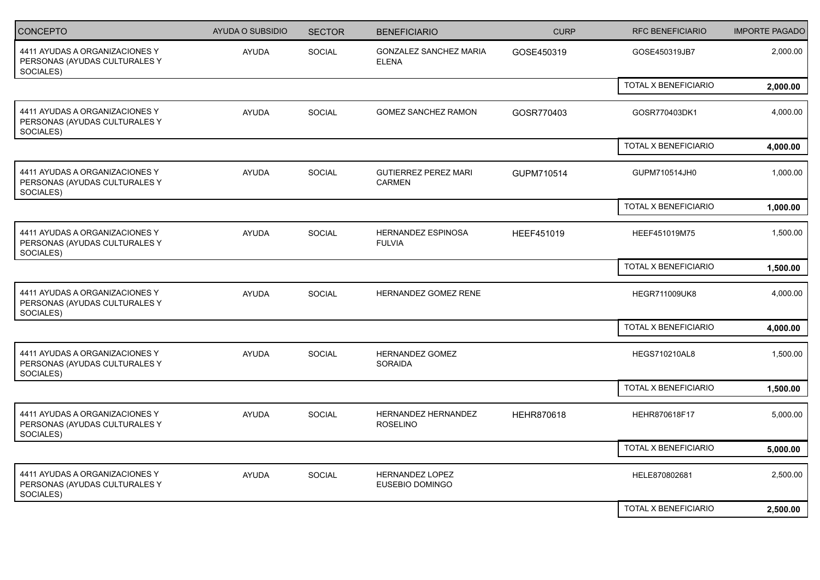| CONCEPTO                                                                     | <b>AYUDA O SUBSIDIO</b> | <b>SECTOR</b> | <b>BENEFICIARIO</b>                           | <b>CURP</b> | <b>RFC BENEFICIARIO</b> | <b>IMPORTE PAGADO</b> |
|------------------------------------------------------------------------------|-------------------------|---------------|-----------------------------------------------|-------------|-------------------------|-----------------------|
| 4411 AYUDAS A ORGANIZACIONES Y<br>PERSONAS (AYUDAS CULTURALES Y<br>SOCIALES) | <b>AYUDA</b>            | SOCIAL        | <b>GONZALEZ SANCHEZ MARIA</b><br><b>ELENA</b> | GOSE450319  | GOSE450319JB7           | 2,000.00              |
|                                                                              |                         |               |                                               |             | TOTAL X BENEFICIARIO    | 2,000.00              |
| 4411 AYUDAS A ORGANIZACIONES Y<br>PERSONAS (AYUDAS CULTURALES Y<br>SOCIALES) | <b>AYUDA</b>            | <b>SOCIAL</b> | GOMEZ SANCHEZ RAMON                           | GOSR770403  | GOSR770403DK1           | 4,000.00              |
|                                                                              |                         |               |                                               |             | TOTAL X BENEFICIARIO    | 4,000.00              |
| 4411 AYUDAS A ORGANIZACIONES Y<br>PERSONAS (AYUDAS CULTURALES Y<br>SOCIALES) | AYUDA                   | SOCIAL        | <b>GUTIERREZ PEREZ MARI</b><br><b>CARMEN</b>  | GUPM710514  | GUPM710514JH0           | 1,000.00              |
|                                                                              |                         |               |                                               |             | TOTAL X BENEFICIARIO    | 1,000.00              |
| 4411 AYUDAS A ORGANIZACIONES Y<br>PERSONAS (AYUDAS CULTURALES Y<br>SOCIALES) | <b>AYUDA</b>            | SOCIAL        | HERNANDEZ ESPINOSA<br><b>FULVIA</b>           | HEEF451019  | HEEF451019M75           | 1,500.00              |
|                                                                              |                         |               |                                               |             | TOTAL X BENEFICIARIO    | 1,500.00              |
| 4411 AYUDAS A ORGANIZACIONES Y<br>PERSONAS (AYUDAS CULTURALES Y<br>SOCIALES) | <b>AYUDA</b>            | SOCIAL        | HERNANDEZ GOMEZ RENE                          |             | <b>HEGR711009UK8</b>    | 4,000.00              |
|                                                                              |                         |               |                                               |             | TOTAL X BENEFICIARIO    | 4,000.00              |
| 4411 AYUDAS A ORGANIZACIONES Y<br>PERSONAS (AYUDAS CULTURALES Y<br>SOCIALES) | <b>AYUDA</b>            | SOCIAL        | <b>HERNANDEZ GOMEZ</b><br><b>SORAIDA</b>      |             | <b>HEGS710210AL8</b>    | 1,500.00              |
|                                                                              |                         |               |                                               |             | TOTAL X BENEFICIARIO    | 1,500.00              |
| 4411 AYUDAS A ORGANIZACIONES Y<br>PERSONAS (AYUDAS CULTURALES Y<br>SOCIALES) | AYUDA                   | SOCIAL        | HERNANDEZ HERNANDEZ<br><b>ROSELINO</b>        | HEHR870618  | HEHR870618F17           | 5,000.00              |
|                                                                              |                         |               |                                               |             | TOTAL X BENEFICIARIO    | 5,000.00              |
| 4411 AYUDAS A ORGANIZACIONES Y<br>PERSONAS (AYUDAS CULTURALES Y<br>SOCIALES) | AYUDA                   | SOCIAL        | HERNANDEZ LOPEZ<br>EUSEBIO DOMINGO            |             | HELE870802681           | 2,500.00              |
|                                                                              |                         |               |                                               |             | TOTAL X BENEFICIARIO    | 2,500.00              |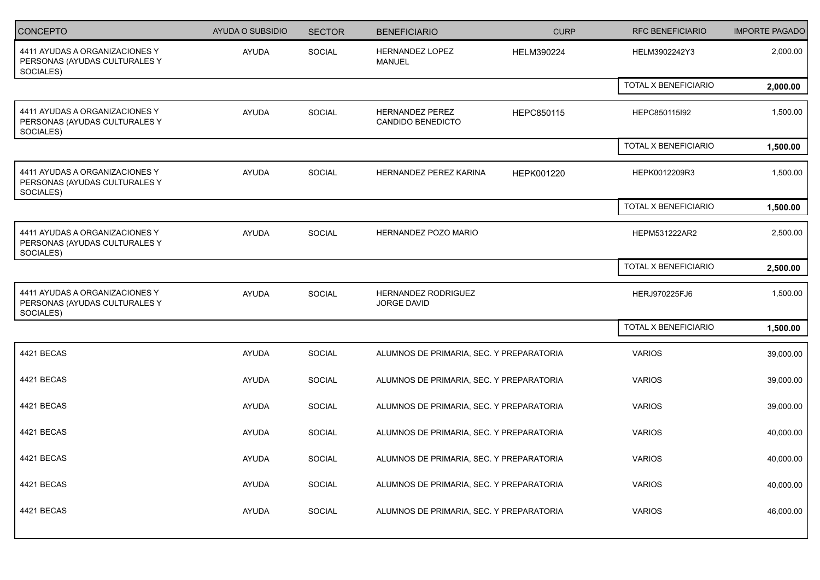| CONCEPTO                                                                     | AYUDA O SUBSIDIO | <b>SECTOR</b> | <b>BENEFICIARIO</b>                         | <b>CURP</b> |
|------------------------------------------------------------------------------|------------------|---------------|---------------------------------------------|-------------|
| 4411 AYUDAS A ORGANIZACIONES Y<br>PERSONAS (AYUDAS CULTURALES Y<br>SOCIALES) | AYUDA            | SOCIAL        | HERNANDEZ LOPEZ<br><b>MANUEL</b>            | HELM390224  |
|                                                                              |                  |               |                                             |             |
| 4411 AYUDAS A ORGANIZACIONES Y<br>PERSONAS (AYUDAS CULTURALES Y<br>SOCIALES) | AYUDA            | SOCIAL        | <b>HERNANDEZ PEREZ</b><br>CANDIDO BENEDICTO | HEPC850115  |
|                                                                              |                  |               |                                             |             |
| 4411 AYUDAS A ORGANIZACIONES Y<br>PERSONAS (AYUDAS CULTURALES Y<br>SOCIALES) | AYUDA            | SOCIAL        | HERNANDEZ PEREZ KARINA                      | HEPK001220  |
|                                                                              |                  |               |                                             |             |
| 4411 AYUDAS A ORGANIZACIONES Y<br>PERSONAS (AYUDAS CULTURALES Y<br>SOCIALES) | AYUDA            | SOCIAL        | HERNANDEZ POZO MARIO                        |             |
|                                                                              |                  |               |                                             |             |
| 4411 AYUDAS A ORGANIZACIONES Y<br>PERSONAS (AYUDAS CULTURALES Y<br>SOCIALES) | AYUDA            | SOCIAL        | HERNANDEZ RODRIGUEZ<br>JORGE DAVID          |             |
|                                                                              |                  |               |                                             |             |
| 4421 BECAS                                                                   | AYUDA            | SOCIAL        | ALUMNOS DE PRIMARIA, SEC. Y PREPARATORIA    |             |
| 4421 BECAS                                                                   | AYUDA            | SOCIAL        | ALUMNOS DE PRIMARIA, SEC. Y PREPARATORIA    |             |
| 4421 BECAS                                                                   | AYUDA            | SOCIAL        | ALUMNOS DE PRIMARIA, SEC. Y PREPARATORIA    |             |
| 4421 BECAS                                                                   | AYUDA            | SOCIAL        | ALUMNOS DE PRIMARIA, SEC. Y PREPARATORIA    |             |
| 4421 BECAS                                                                   | AYUDA            | SOCIAL        | ALUMNOS DE PRIMARIA, SEC. Y PREPARATORIA    |             |
| 4421 BECAS                                                                   | AYUDA            | SOCIAL        | ALUMNOS DE PRIMARIA, SEC. Y PREPARATORIA    |             |
| 4421 BECAS                                                                   | AYUDA            | SOCIAL        | ALUMNOS DE PRIMARIA, SEC. Y PREPARATORIA    |             |
|                                                                              |                  |               |                                             |             |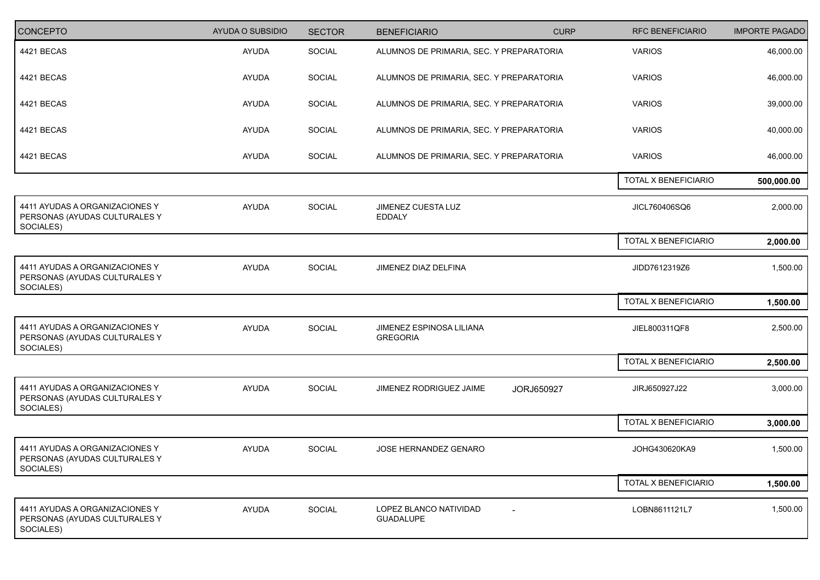| CONCEPTO                                                                     | AYUDA O SUBSIDIO | <b>SECTOR</b> | <b>BENEFICIARIO</b>                         | <b>CURP</b>              |
|------------------------------------------------------------------------------|------------------|---------------|---------------------------------------------|--------------------------|
| 4421 BECAS                                                                   | AYUDA            | SOCIAL        | ALUMNOS DE PRIMARIA, SEC. Y PREPARATORIA    |                          |
| 4421 BECAS                                                                   | AYUDA            | SOCIAL        | ALUMNOS DE PRIMARIA, SEC. Y PREPARATORIA    |                          |
| 4421 BECAS                                                                   | AYUDA            | SOCIAL        | ALUMNOS DE PRIMARIA, SEC. Y PREPARATORIA    |                          |
| 4421 BECAS                                                                   | AYUDA            | SOCIAL        | ALUMNOS DE PRIMARIA, SEC. Y PREPARATORIA    |                          |
| 4421 BECAS                                                                   | AYUDA            | SOCIAL        | ALUMNOS DE PRIMARIA, SEC. Y PREPARATORIA    |                          |
|                                                                              |                  |               |                                             |                          |
| 4411 AYUDAS A ORGANIZACIONES Y<br>PERSONAS (AYUDAS CULTURALES Y<br>SOCIALES) | AYUDA            | SOCIAL        | JIMENEZ CUESTA LUZ<br><b>EDDALY</b>         |                          |
|                                                                              |                  |               |                                             |                          |
| 4411 AYUDAS A ORGANIZACIONES Y<br>PERSONAS (AYUDAS CULTURALES Y<br>SOCIALES) | AYUDA            | SOCIAL        | JIMENEZ DIAZ DELFINA                        |                          |
|                                                                              |                  |               |                                             |                          |
| 4411 AYUDAS A ORGANIZACIONES Y<br>PERSONAS (AYUDAS CULTURALES Y<br>SOCIALES) | AYUDA            | SOCIAL        | JIMENEZ ESPINOSA LILIANA<br><b>GREGORIA</b> |                          |
|                                                                              |                  |               |                                             |                          |
| 4411 AYUDAS A ORGANIZACIONES Y<br>PERSONAS (AYUDAS CULTURALES Y<br>SOCIALES) | AYUDA            | SOCIAL        | JIMENEZ RODRIGUEZ JAIME                     | JORJ650927               |
|                                                                              |                  |               |                                             |                          |
| 4411 AYUDAS A ORGANIZACIONES Y<br>PERSONAS (AYUDAS CULTURALES Y<br>SOCIALES) | AYUDA            | SOCIAL        | JOSE HERNANDEZ GENARO                       |                          |
|                                                                              |                  |               |                                             |                          |
| 4411 AYUDAS A ORGANIZACIONES Y<br>PERSONAS (AYUDAS CULTURALES Y<br>SOCIALES) | AYUDA            | SOCIAL        | LOPEZ BLANCO NATIVIDAD<br>GUADALUPE         | $\overline{\phantom{a}}$ |
|                                                                              |                  |               |                                             |                          |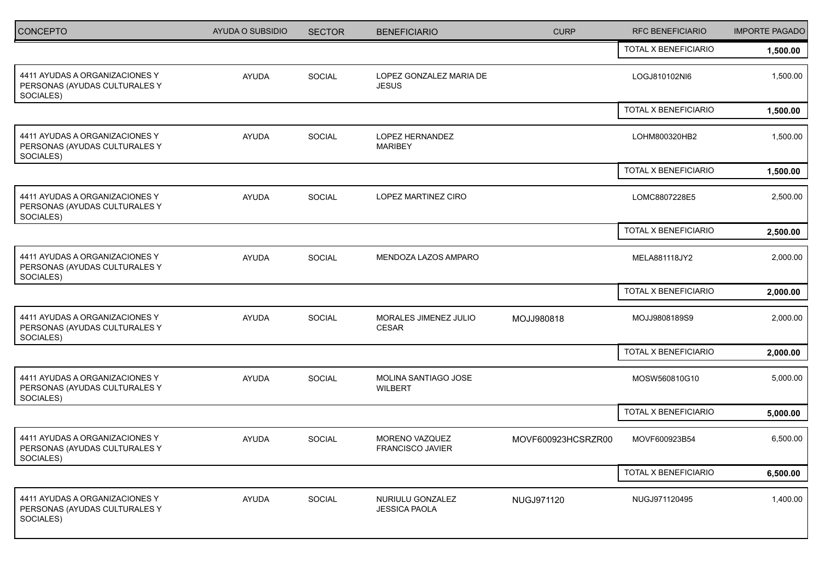| <b>CONCEPTO</b>                                                              | <b>AYUDA O SUBSIDIO</b> | <b>SECTOR</b> | <b>BENEFICIARIO</b>                      | <b>CURP</b>        | <b>RFC BENEFICIARIO</b> | <b>IMPORTE PAGADO</b> |
|------------------------------------------------------------------------------|-------------------------|---------------|------------------------------------------|--------------------|-------------------------|-----------------------|
|                                                                              |                         |               |                                          |                    | TOTAL X BENEFICIARIO    | 1,500.00              |
| 4411 AYUDAS A ORGANIZACIONES Y<br>PERSONAS (AYUDAS CULTURALES Y<br>SOCIALES) | <b>AYUDA</b>            | SOCIAL        | LOPEZ GONZALEZ MARIA DE<br><b>JESUS</b>  |                    | LOGJ810102NI6           | 1,500.00              |
|                                                                              |                         |               |                                          |                    | TOTAL X BENEFICIARIO    | 1,500.00              |
| 4411 AYUDAS A ORGANIZACIONES Y<br>PERSONAS (AYUDAS CULTURALES Y<br>SOCIALES) | <b>AYUDA</b>            | <b>SOCIAL</b> | <b>LOPEZ HERNANDEZ</b><br><b>MARIBEY</b> |                    | LOHM800320HB2           | 1,500.00              |
|                                                                              |                         |               |                                          |                    | TOTAL X BENEFICIARIO    | 1,500.00              |
| 4411 AYUDAS A ORGANIZACIONES Y<br>PERSONAS (AYUDAS CULTURALES Y<br>SOCIALES) | <b>AYUDA</b>            | <b>SOCIAL</b> | LOPEZ MARTINEZ CIRO                      |                    | LOMC8807228E5           | 2,500.00              |
|                                                                              |                         |               |                                          |                    | TOTAL X BENEFICIARIO    | 2,500.00              |
| 4411 AYUDAS A ORGANIZACIONES Y<br>PERSONAS (AYUDAS CULTURALES Y<br>SOCIALES) | <b>AYUDA</b>            | SOCIAL        | MENDOZA LAZOS AMPARO                     |                    | MELA881118JY2           | 2,000.00              |
|                                                                              |                         |               |                                          |                    | TOTAL X BENEFICIARIO    | 2,000.00              |
| 4411 AYUDAS A ORGANIZACIONES Y<br>PERSONAS (AYUDAS CULTURALES Y<br>SOCIALES) | <b>AYUDA</b>            | SOCIAL        | MORALES JIMENEZ JULIO<br>CESAR           | MOJJ980818         | MOJJ9808189S9           | 2,000.00              |
|                                                                              |                         |               |                                          |                    | TOTAL X BENEFICIARIO    | 2,000.00              |
| 4411 AYUDAS A ORGANIZACIONES Y<br>PERSONAS (AYUDAS CULTURALES Y<br>SOCIALES) | <b>AYUDA</b>            | SOCIAL        | MOLINA SANTIAGO JOSE<br><b>WILBERT</b>   |                    | MOSW560810G10           | 5,000.00              |
|                                                                              |                         |               |                                          |                    | TOTAL X BENEFICIARIO    | 5,000.00              |
| 4411 AYUDAS A ORGANIZACIONES Y<br>PERSONAS (AYUDAS CULTURALES Y<br>SOCIALES) | <b>AYUDA</b>            | <b>SOCIAL</b> | MORENO VAZQUEZ<br>FRANCISCO JAVIER       | MOVF600923HCSRZR00 | MOVF600923B54           | 6,500.00              |
|                                                                              |                         |               |                                          |                    | TOTAL X BENEFICIARIO    | 6,500.00              |
| 4411 AYUDAS A ORGANIZACIONES Y<br>PERSONAS (AYUDAS CULTURALES Y<br>SOCIALES) | AYUDA                   | SOCIAL        | NURIULU GONZALEZ<br><b>JESSICA PAOLA</b> | NUGJ971120         | NUGJ971120495           | 1,400.00              |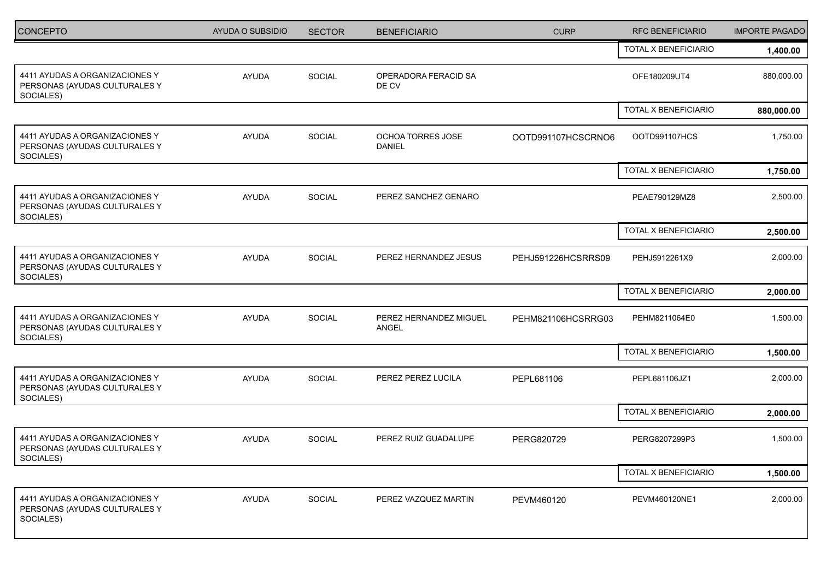| <b>CONCEPTO</b>                                                              | AYUDA O SUBSIDIO | <b>SECTOR</b> | <b>BENEFICIARIO</b>                | <b>CURP</b>        | <b>RFC BENEFICIARIO</b> | <b>IMPORTE PAGADO</b> |
|------------------------------------------------------------------------------|------------------|---------------|------------------------------------|--------------------|-------------------------|-----------------------|
|                                                                              |                  |               |                                    |                    | TOTAL X BENEFICIARIO    | 1,400.00              |
| 4411 AYUDAS A ORGANIZACIONES Y<br>PERSONAS (AYUDAS CULTURALES Y<br>SOCIALES) | <b>AYUDA</b>     | SOCIAL        | OPERADORA FERACID SA<br>DE CV      |                    | OFE180209UT4            | 880,000.00            |
|                                                                              |                  |               |                                    |                    | TOTAL X BENEFICIARIO    | 880,000.00            |
| 4411 AYUDAS A ORGANIZACIONES Y<br>PERSONAS (AYUDAS CULTURALES Y<br>SOCIALES) | <b>AYUDA</b>     | SOCIAL        | OCHOA TORRES JOSE<br><b>DANIEL</b> | OOTD991107HCSCRNO6 | OOTD991107HCS           | 1,750.00              |
|                                                                              |                  |               |                                    |                    | TOTAL X BENEFICIARIO    | 1,750.00              |
| 4411 AYUDAS A ORGANIZACIONES Y<br>PERSONAS (AYUDAS CULTURALES Y<br>SOCIALES) | <b>AYUDA</b>     | SOCIAL        | PEREZ SANCHEZ GENARO               |                    | PEAE790129MZ8           | 2,500.00              |
|                                                                              |                  |               |                                    |                    | TOTAL X BENEFICIARIO    | 2,500.00              |
| 4411 AYUDAS A ORGANIZACIONES Y<br>PERSONAS (AYUDAS CULTURALES Y<br>SOCIALES) | <b>AYUDA</b>     | <b>SOCIAL</b> | PEREZ HERNANDEZ JESUS              | PEHJ591226HCSRRS09 | PEHJ5912261X9           | 2,000.00              |
|                                                                              |                  |               |                                    |                    | TOTAL X BENEFICIARIO    | 2,000.00              |
| 4411 AYUDAS A ORGANIZACIONES Y<br>PERSONAS (AYUDAS CULTURALES Y<br>SOCIALES) | <b>AYUDA</b>     | <b>SOCIAL</b> | PEREZ HERNANDEZ MIGUEL<br>ANGEL    | PEHM821106HCSRRG03 | PEHM8211064E0           | 1,500.00              |
|                                                                              |                  |               |                                    |                    | TOTAL X BENEFICIARIO    | 1,500.00              |
| 4411 AYUDAS A ORGANIZACIONES Y<br>PERSONAS (AYUDAS CULTURALES Y<br>SOCIALES) | <b>AYUDA</b>     | <b>SOCIAL</b> | PEREZ PEREZ LUCILA                 | PEPL681106         | PEPL681106JZ1           | 2,000.00              |
|                                                                              |                  |               |                                    |                    | TOTAL X BENEFICIARIO    | 2,000.00              |
| 4411 AYUDAS A ORGANIZACIONES Y<br>PERSONAS (AYUDAS CULTURALES Y<br>SOCIALES) | <b>AYUDA</b>     | SOCIAL        | PEREZ RUIZ GUADALUPE               | PERG820729         | PERG8207299P3           | 1,500.00              |
|                                                                              |                  |               |                                    |                    | TOTAL X BENEFICIARIO    | 1,500.00              |
| 4411 AYUDAS A ORGANIZACIONES Y<br>PERSONAS (AYUDAS CULTURALES Y<br>SOCIALES) | <b>AYUDA</b>     | SOCIAL        | PEREZ VAZQUEZ MARTIN               | PEVM460120         | PEVM460120NE1           | 2,000.00              |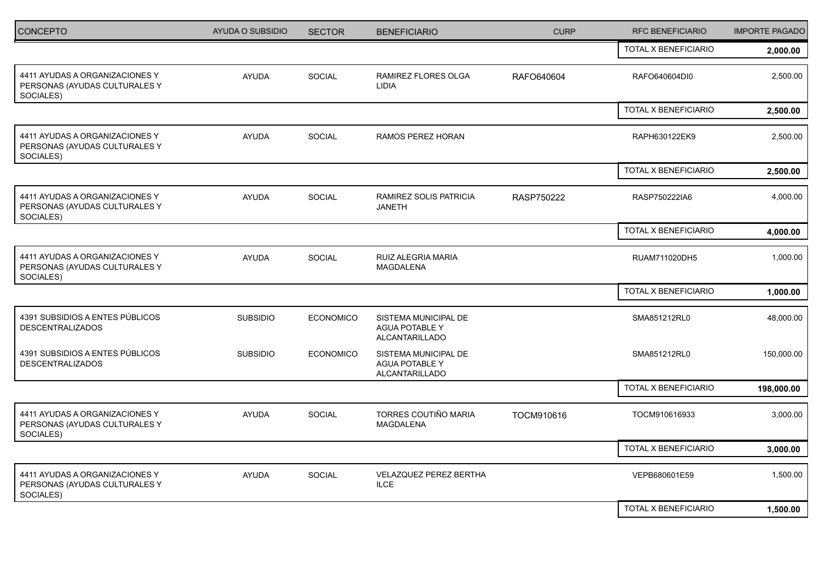| CONCEPTO                                                                     | AYUDA O SUBSIDIO | <b>SECTOR</b>    | <b>BENEFICIARIO</b>                                             | <b>CURP</b> | RFC BENEFICIARIO            | <b>IMPORTE PAGADO</b> |
|------------------------------------------------------------------------------|------------------|------------------|-----------------------------------------------------------------|-------------|-----------------------------|-----------------------|
|                                                                              |                  |                  |                                                                 |             | <b>TOTAL X BENEFICIARIO</b> | 2,000.00              |
| 4411 AYUDAS A ORGANIZACIONES Y<br>PERSONAS (AYUDAS CULTURALES Y<br>SOCIALES) | <b>AYUDA</b>     | SOCIAL           | <b>RAMIREZ FLORES OLGA</b><br><b>LIDIA</b>                      | RAFO640604  | RAFO640604DI0               | 2,500.00              |
|                                                                              |                  |                  |                                                                 |             | TOTAL X BENEFICIARIO        | 2,500.00              |
| 4411 AYUDAS A ORGANIZACIONES Y<br>PERSONAS (AYUDAS CULTURALES Y<br>SOCIALES) | <b>AYUDA</b>     | <b>SOCIAL</b>    | RAMOS PEREZ HORAN                                               |             | RAPH630122EK9               | 2,500.00              |
|                                                                              |                  |                  |                                                                 |             | TOTAL X BENEFICIARIO        | 2,500.00              |
| 4411 AYUDAS A ORGANIZACIONES Y<br>PERSONAS (AYUDAS CULTURALES Y<br>SOCIALES) | <b>AYUDA</b>     | <b>SOCIAL</b>    | RAMIREZ SOLIS PATRICIA<br><b>JANETH</b>                         | RASP750222  | RASP750222IA6               | 4,000.00              |
|                                                                              |                  |                  |                                                                 |             | TOTAL X BENEFICIARIO        | 4,000.00              |
| 4411 AYUDAS A ORGANIZACIONES Y<br>PERSONAS (AYUDAS CULTURALES Y<br>SOCIALES) | <b>AYUDA</b>     | <b>SOCIAL</b>    | RUIZ ALEGRIA MARIA<br>MAGDALENA                                 |             | RUAM711020DH5               | 1,000.00              |
|                                                                              |                  |                  |                                                                 |             | TOTAL X BENEFICIARIO        | 1,000.00              |
| 4391 SUBSIDIOS A ENTES PÚBLICOS<br><b>DESCENTRALIZADOS</b>                   | <b>SUBSIDIO</b>  | <b>ECONOMICO</b> | SISTEMA MUNICIPAL DE<br><b>AGUA POTABLE Y</b><br>ALCANTARILLADO |             | SMA851212RL0                | 48,000.00             |
| 4391 SUBSIDIOS A ENTES PÚBLICOS<br><b>DESCENTRALIZADOS</b>                   | <b>SUBSIDIO</b>  | <b>ECONOMICO</b> | SISTEMA MUNICIPAL DE<br><b>AGUA POTABLE Y</b><br>ALCANTARILLADO |             | SMA851212RL0                | 150,000.00            |
|                                                                              |                  |                  |                                                                 |             | TOTAL X BENEFICIARIO        | 198,000.00            |
| 4411 AYUDAS A ORGANIZACIONES Y<br>PERSONAS (AYUDAS CULTURALES Y<br>SOCIALES) | <b>AYUDA</b>     | SOCIAL           | TORRES COUTIÑO MARIA<br><b>MAGDALENA</b>                        | TOCM910616  | TOCM910616933               | 3,000.00              |
|                                                                              |                  |                  |                                                                 |             | TOTAL X BENEFICIARIO        | 3,000.00              |
| 4411 AYUDAS A ORGANIZACIONES Y<br>PERSONAS (AYUDAS CULTURALES Y<br>SOCIALES) | <b>AYUDA</b>     | <b>SOCIAL</b>    | VELAZQUEZ PEREZ BERTHA<br><b>ILCE</b>                           |             | VEPB680601E59               | 1,500.00              |
|                                                                              |                  |                  |                                                                 |             | TOTAL X BENEFICIARIO        | 1,500.00              |